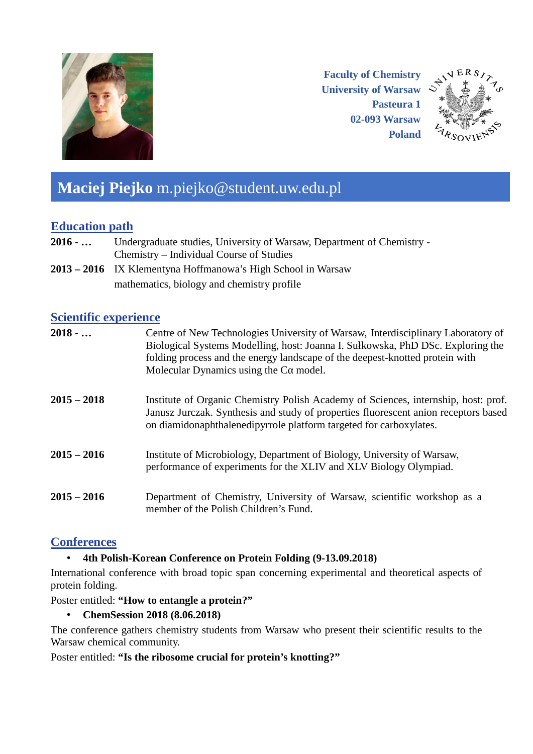

**Faculty of Chemistry University of Warsaw Pasteura 1 02-093 Warsaw Poland**



# **Maciej Piejko** m.piejko@student.uw.edu.pl

# **Education path**

- **2016 - …** Undergraduate studies, University of Warsaw, Department of Chemistry Chemistry – Individual Course of Studies
- **2013 – 2016** IX Klementyna Hoffmanowa's High School in Warsaw mathematics, biology and chemistry profile

#### **Scientific experience**

| $2018 - $     | Centre of New Technologies University of Warsaw, Interdisciplinary Laboratory of<br>Biological Systems Modelling, host: Joanna I. Sułkowska, PhD DSc. Exploring the<br>folding process and the energy landscape of the deepest-knotted protein with<br>Molecular Dynamics using the $Ca$ model. |
|---------------|-------------------------------------------------------------------------------------------------------------------------------------------------------------------------------------------------------------------------------------------------------------------------------------------------|
| $2015 - 2018$ | Institute of Organic Chemistry Polish Academy of Sciences, internship, host: prof.<br>Janusz Jurczak. Synthesis and study of properties fluorescent anion receptors based<br>on diamidonaphthalenedipyrrole platform targeted for carboxylates.                                                 |
| $2015 - 2016$ | Institute of Microbiology, Department of Biology, University of Warsaw,<br>performance of experiments for the XLIV and XLV Biology Olympiad.                                                                                                                                                    |
| $2015 - 2016$ | Department of Chemistry, University of Warsaw, scientific workshop as a<br>member of the Polish Children's Fund.                                                                                                                                                                                |

## **Conferences**

## • **4th Polish-Korean Conference on Protein Folding (9-13.09.2018)**

International conference with broad topic span concerning experimental and theoretical aspects of protein folding.

#### Poster entitled: **"How to entangle a protein?"**

• **ChemSession 2018 (8.06.2018)**

The conference gathers chemistry students from Warsaw who present their scientific results to the Warsaw chemical community.

#### Poster entitled: **"Is the ribosome crucial for protein's knotting?"**